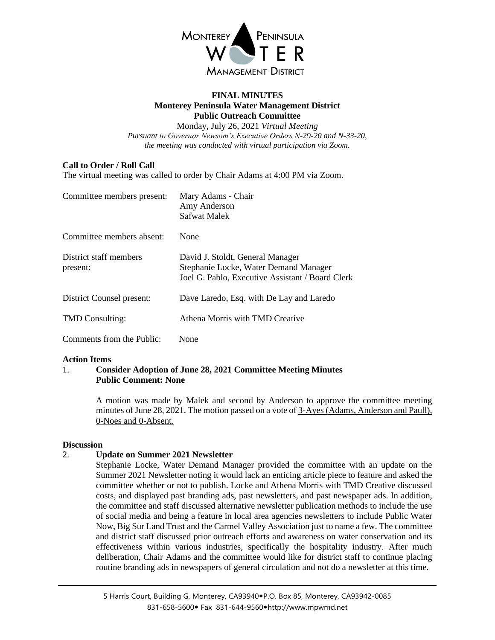

## **FINAL MINUTES Monterey Peninsula Water Management District Public Outreach Committee**

Monday, July 26, 2021 *Virtual Meeting Pursuant to Governor Newsom's Executive Orders N-29-20 and N-33-20, the meeting was conducted with virtual participation via Zoom.*

# **Call to Order / Roll Call**

The virtual meeting was called to order by Chair Adams at 4:00 PM via Zoom.

| Committee members present:         | Mary Adams - Chair<br>Amy Anderson<br>Safwat Malek                                                                            |
|------------------------------------|-------------------------------------------------------------------------------------------------------------------------------|
| Committee members absent:          | None                                                                                                                          |
| District staff members<br>present: | David J. Stoldt, General Manager<br>Stephanie Locke, Water Demand Manager<br>Joel G. Pablo, Executive Assistant / Board Clerk |
| District Counsel present:          | Dave Laredo, Esq. with De Lay and Laredo                                                                                      |
| <b>TMD</b> Consulting:             | Athena Morris with TMD Creative                                                                                               |
| Comments from the Public:          | None                                                                                                                          |

## **Action Items**

# 1. **Consider Adoption of June 28, 2021 Committee Meeting Minutes Public Comment: None**

A motion was made by Malek and second by Anderson to approve the committee meeting minutes of June 28, 2021. The motion passed on a vote of 3-Ayes (Adams, Anderson and Paull), 0-Noes and 0-Absent.

# **Discussion**

# 2. **Update on Summer 2021 Newsletter**

Stephanie Locke, Water Demand Manager provided the committee with an update on the Summer 2021 Newsletter noting it would lack an enticing article piece to feature and asked the committee whether or not to publish. Locke and Athena Morris with TMD Creative discussed costs, and displayed past branding ads, past newsletters, and past newspaper ads. In addition, the committee and staff discussed alternative newsletter publication methods to include the use of social media and being a feature in local area agencies newsletters to include Public Water Now, Big Sur Land Trust and the Carmel Valley Association just to name a few. The committee and district staff discussed prior outreach efforts and awareness on water conservation and its effectiveness within various industries, specifically the hospitality industry. After much deliberation, Chair Adams and the committee would like for district staff to continue placing routine branding ads in newspapers of general circulation and not do a newsletter at this time.